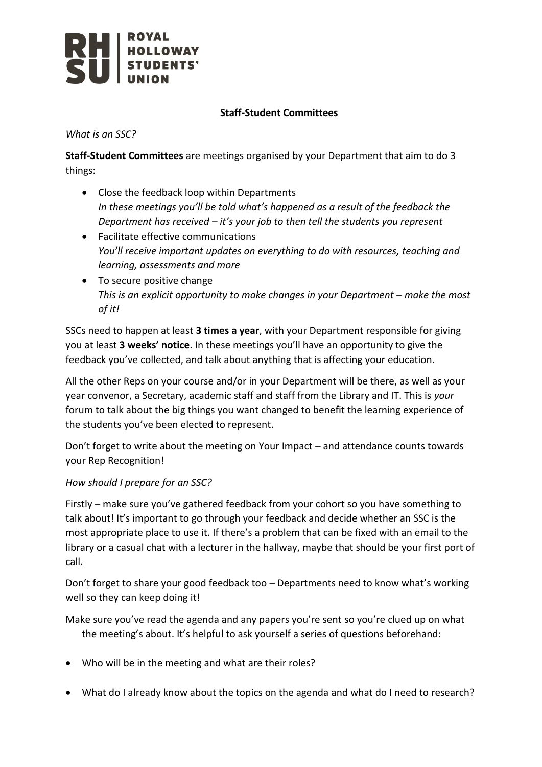

## **Staff-Student Committees**

*What is an SSC?*

**Staff-Student Committees** are meetings organised by your Department that aim to do 3 things:

- Close the feedback loop within Departments *In these meetings you'll be told what's happened as a result of the feedback the Department has received – it's your job to then tell the students you represent*
- Facilitate effective communications *You'll receive important updates on everything to do with resources, teaching and learning, assessments and more*
- To secure positive change *This is an explicit opportunity to make changes in your Department – make the most of it!*

SSCs need to happen at least **3 times a year**, with your Department responsible for giving you at least **3 weeks' notice**. In these meetings you'll have an opportunity to give the feedback you've collected, and talk about anything that is affecting your education.

All the other Reps on your course and/or in your Department will be there, as well as your year convenor, a Secretary, academic staff and staff from the Library and IT. This is *your*  forum to talk about the big things you want changed to benefit the learning experience of the students you've been elected to represent.

Don't forget to write about the meeting on Your Impact – and attendance counts towards your Rep Recognition!

## *How should I prepare for an SSC?*

Firstly – make sure you've gathered feedback from your cohort so you have something to talk about! It's important to go through your feedback and decide whether an SSC is the most appropriate place to use it. If there's a problem that can be fixed with an email to the library or a casual chat with a lecturer in the hallway, maybe that should be your first port of call.

Don't forget to share your good feedback too – Departments need to know what's working well so they can keep doing it!

Make sure you've read the agenda and any papers you're sent so you're clued up on what the meeting's about. It's helpful to ask yourself a series of questions beforehand:

- Who will be in the meeting and what are their roles?
- What do I already know about the topics on the agenda and what do I need to research?